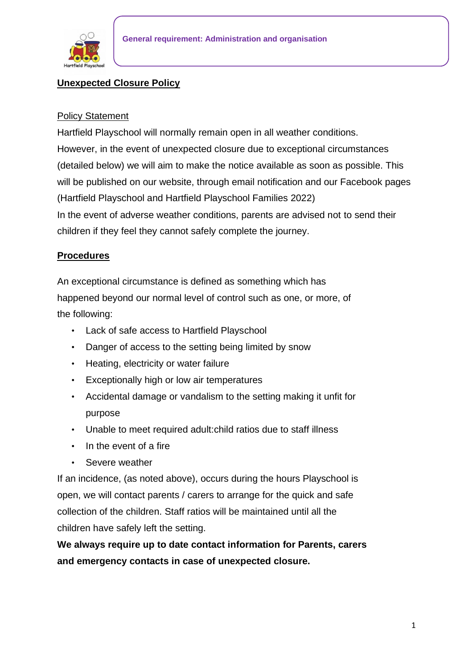

## **Unexpected Closure Policy**

#### Policy Statement

Hartfield Playschool will normally remain open in all weather conditions. However, in the event of unexpected closure due to exceptional circumstances (detailed below) we will aim to make the notice available as soon as possible. This will be published on our website, through email notification and our Facebook pages (Hartfield Playschool and Hartfield Playschool Families 2022) In the event of adverse weather conditions, parents are advised not to send their children if they feel they cannot safely complete the journey.

### **Procedures**

An exceptional circumstance is defined as something which has happened beyond our normal level of control such as one, or more, of the following:

- Lack of safe access to Hartfield Playschool
- Danger of access to the setting being limited by snow
- Heating, electricity or water failure
- Exceptionally high or low air temperatures
- Accidental damage or vandalism to the setting making it unfit for purpose
- Unable to meet required adult:child ratios due to staff illness
- In the event of a fire
- Severe weather

If an incidence, (as noted above), occurs during the hours Playschool is open, we will contact parents / carers to arrange for the quick and safe collection of the children. Staff ratios will be maintained until all the children have safely left the setting.

**We always require up to date contact information for Parents, carers and emergency contacts in case of unexpected closure.**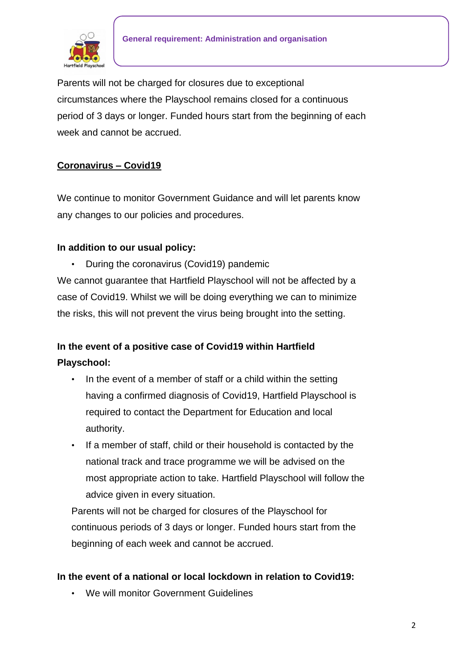

Parents will not be charged for closures due to exceptional circumstances where the Playschool remains closed for a continuous period of 3 days or longer. Funded hours start from the beginning of each week and cannot be accrued.

## **Coronavirus – Covid19**

We continue to monitor Government Guidance and will let parents know any changes to our policies and procedures.

### **In addition to our usual policy:**

• During the coronavirus (Covid19) pandemic

We cannot guarantee that Hartfield Playschool will not be affected by a case of Covid19. Whilst we will be doing everything we can to minimize the risks, this will not prevent the virus being brought into the setting.

# **In the event of a positive case of Covid19 within Hartfield Playschool:**

- In the event of a member of staff or a child within the setting having a confirmed diagnosis of Covid19, Hartfield Playschool is required to contact the Department for Education and local authority.
- If a member of staff, child or their household is contacted by the national track and trace programme we will be advised on the most appropriate action to take. Hartfield Playschool will follow the advice given in every situation.

Parents will not be charged for closures of the Playschool for continuous periods of 3 days or longer. Funded hours start from the beginning of each week and cannot be accrued.

### **In the event of a national or local lockdown in relation to Covid19:**

• We will monitor Government Guidelines